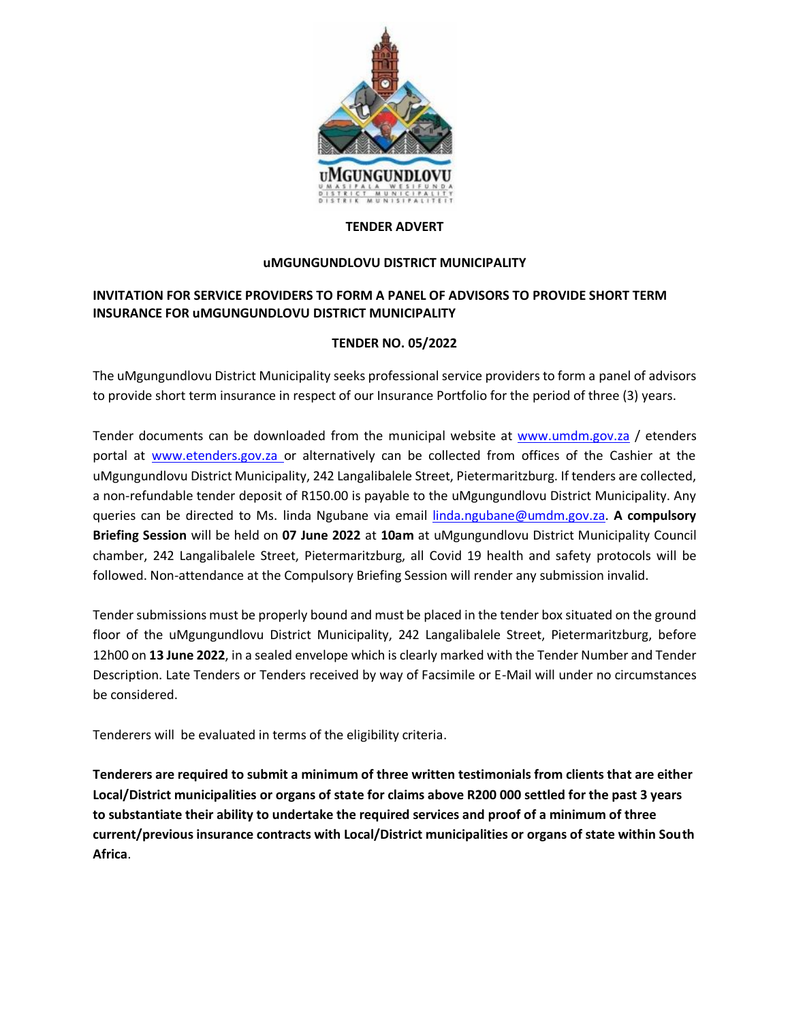

#### **TENDER ADVERT**

### **uMGUNGUNDLOVU DISTRICT MUNICIPALITY**

## **INVITATION FOR SERVICE PROVIDERS TO FORM A PANEL OF ADVISORS TO PROVIDE SHORT TERM INSURANCE FOR uMGUNGUNDLOVU DISTRICT MUNICIPALITY**

### **TENDER NO. 05/2022**

The uMgungundlovu District Municipality seeks professional service providers to form a panel of advisors to provide short term insurance in respect of our Insurance Portfolio for the period of three (3) years.

Tender documents can be downloaded from the municipal website at [www.umdm.gov.za](http://www.umdm.gov.za/) / etenders portal at [www.etenders.gov.za](mailto:adele.dorasamy@umdm.gov.za) or alternatively can be collected from offices of the Cashier at the uMgungundlovu District Municipality, 242 Langalibalele Street, Pietermaritzburg. If tenders are collected, a non-refundable tender deposit of R150.00 is payable to the uMgungundlovu District Municipality. Any queries can be directed to Ms. linda Ngubane via email [linda.ngubane@umdm.gov.za.](mailto:linda.ngubane@umdm.gov.za) **A compulsory Briefing Session** will be held on **07 June 2022** at **10am** at uMgungundlovu District Municipality Council chamber, 242 Langalibalele Street, Pietermaritzburg, all Covid 19 health and safety protocols will be followed. Non-attendance at the Compulsory Briefing Session will render any submission invalid.

Tender submissions must be properly bound and must be placed in the tender box situated on the ground floor of the uMgungundlovu District Municipality, 242 Langalibalele Street, Pietermaritzburg, before 12h00 on **13 June 2022**, in a sealed envelope which is clearly marked with the Tender Number and Tender Description. Late Tenders or Tenders received by way of Facsimile or E-Mail will under no circumstances be considered.

Tenderers will be evaluated in terms of the eligibility criteria.

**Tenderers are required to submit a minimum of three written testimonials from clients that are either Local/District municipalities or organs of state for claims above R200 000 settled for the past 3 years to substantiate their ability to undertake the required services and proof of a minimum of three current/previous insurance contracts with Local/District municipalities or organs of state within South Africa**.